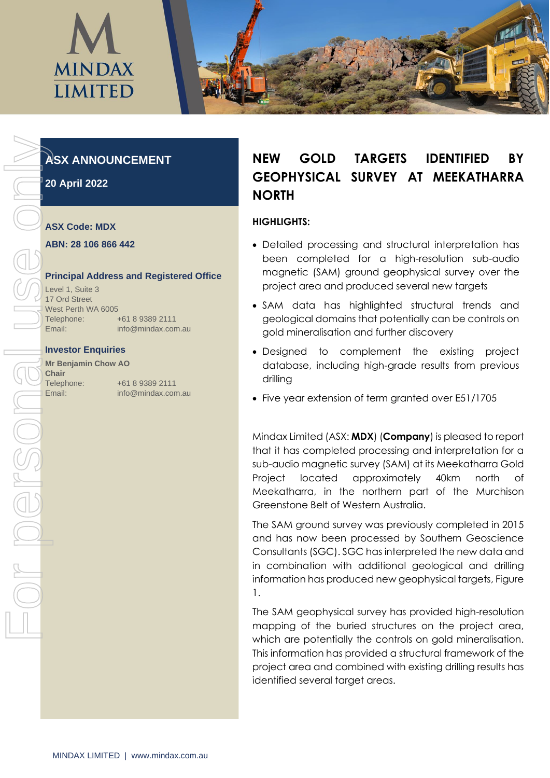

# **ASX ANNOUNCEMENT**

**20 April 2022**

## **ASX Code: MDX**

#### **ABN: 28 106 866 442**

## **Principal Address and Registered Office**

Level 1, Suite 3 17 Ord Street West Perth WA 6005 Telephone: +61 8 9389 2111 Email: info@mindax.com.au

#### **Investor Enquiries**

**Mr Benjamin Chow AO Chair** Telephone: +61 8 9389 2111

# **NEW GOLD TARGETS IDENTIFIED BY GEOPHYSICAL SURVEY AT MEEKATHARRA NORTH**

## **HIGHLIGHTS:**

- Detailed processing and structural interpretation has been completed for a high-resolution sub-audio magnetic (SAM) ground geophysical survey over the project area and produced several new targets
- SAM data has highlighted structural trends and geological domains that potentially can be controls on gold mineralisation and further discovery
- Designed to complement the existing project database, including high-grade results from previous drilling
- Five year extension of term granted over E51/1705

Mindax Limited (ASX: **MDX**) (**Company**) is pleased to report that it has completed processing and interpretation for a sub-audio magnetic survey (SAM) at its Meekatharra Gold Project located approximately 40km north of Meekatharra, in the northern part of the Murchison Greenstone Belt of Western Australia.

The SAM ground survey was previously completed in 2015 and has now been processed by Southern Geoscience Consultants (SGC). SGC has interpreted the new data and in combination with additional geological and drilling information has produced new geophysical targets, Figure 1.

The SAM geophysical survey has provided high-resolution mapping of the buried structures on the project area, which are potentially the controls on gold mineralisation. This information has provided a structural framework of the project area and combined with existing drilling results has identified several target areas.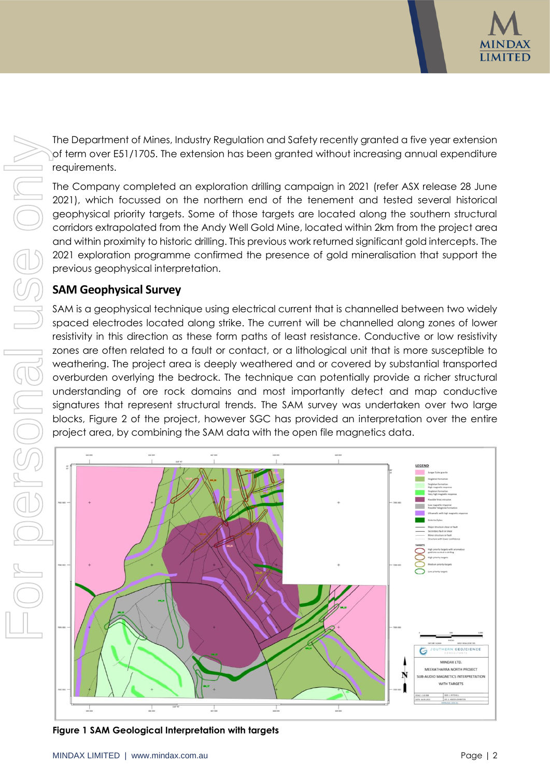

The [Department of Mines, Industry Regulation and Safety](https://www.google.com/search?rlz=1C1GCEU_enAU819AU819&q=Department+of+Mines,+Industry+Regulation+and+Safety&stick=H4sIAAAAAAAAAONgVuLVT9c3NCyIN60wzc4oWcRq7JJakFhUkpuaV6KQn6bgm5mXWqyj4JmXUlpcUlSpEJSaXpqTWJKZn6eQmJeiEJyYllpSCQBqoJldRwAAAA&sa=X&sqi=2&ved=2ahUKEwjU2Iqf9YP3AhXtGLkGHT-1CN0QmxMoAXoECD4QAw) recently granted a five year extension of term over E51/1705. The extension has been granted without increasing annual expenditure requirements.

The Company completed an exploration drilling campaign in 2021 (refer ASX release 28 June 2021), which focussed on the northern end of the tenement and tested several historical geophysical priority targets. Some of those targets are located along the southern structural corridors extrapolated from the Andy Well Gold Mine, located within 2km from the project area and within proximity to historic drilling. This previous work returned significant gold intercepts. The 2021 exploration programme confirmed the presence of gold mineralisation that support the previous geophysical interpretation.

# **SAM Geophysical Survey**

SAM is a geophysical technique using electrical current that is channelled between two widely spaced electrodes located along strike. The current will be channelled along zones of lower resistivity in this direction as these form paths of least resistance. Conductive or low resistivity zones are often related to a fault or contact, or a lithological unit that is more susceptible to weathering. The project area is deeply weathered and or covered by substantial transported overburden overlying the bedrock. The technique can potentially provide a richer structural understanding of ore rock domains and most importantly detect and map conductive signatures that represent structural trends. The SAM survey was undertaken over two large blocks, Figure 2 of the project, however SGC has provided an interpretation over the entire project area, by combining the SAM data with the open file magnetics data.

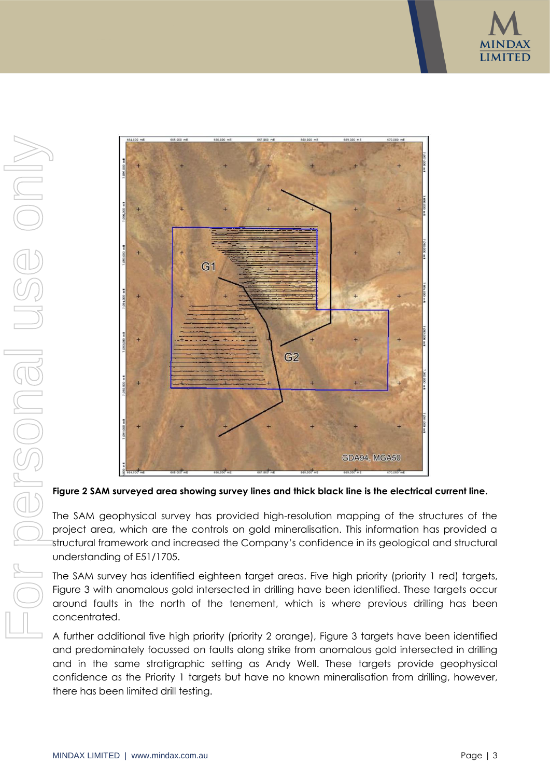



**Figure 2 SAM surveyed area showing survey lines and thick black line is the electrical current line.**

The SAM geophysical survey has provided high-resolution mapping of the structures of the project area, which are the controls on gold mineralisation. This information has provided a structural framework and increased the Company's confidence in its geological and structural understanding of E51/1705.

The SAM survey has identified eighteen target areas. Five high priority (priority 1 red) targets, Figure 3 with anomalous gold intersected in drilling have been identified. These targets occur around faults in the north of the tenement, which is where previous drilling has been concentrated.

A further additional five high priority (priority 2 orange), Figure 3 targets have been identified and predominately focussed on faults along strike from anomalous gold intersected in drilling and in the same stratigraphic setting as Andy Well. These targets provide geophysical confidence as the Priority 1 targets but have no known mineralisation from drilling, however,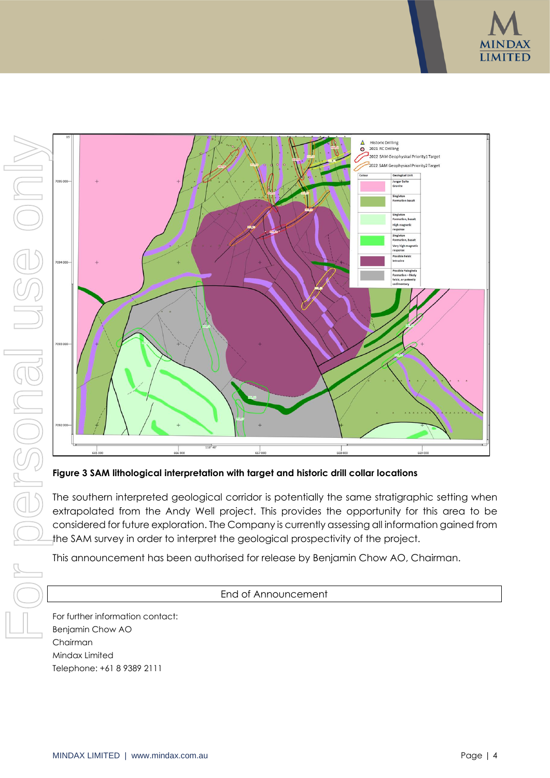





**Figure 3 SAM lithological interpretation with target and historic drill collar locations**

The southern interpreted geological corridor is potentially the same stratigraphic setting when extrapolated from the Andy Well project. This provides the opportunity for this area to be considered for future exploration. The Company is currently assessing all information gained from the SAM survey in order to interpret the geological prospectivity of the project.

This announcement has been authorised for release by Benjamin Chow AO, Chairman.

# End of Announcement

For further information contact: Benjamin Chow AO Chairman Mindax Limited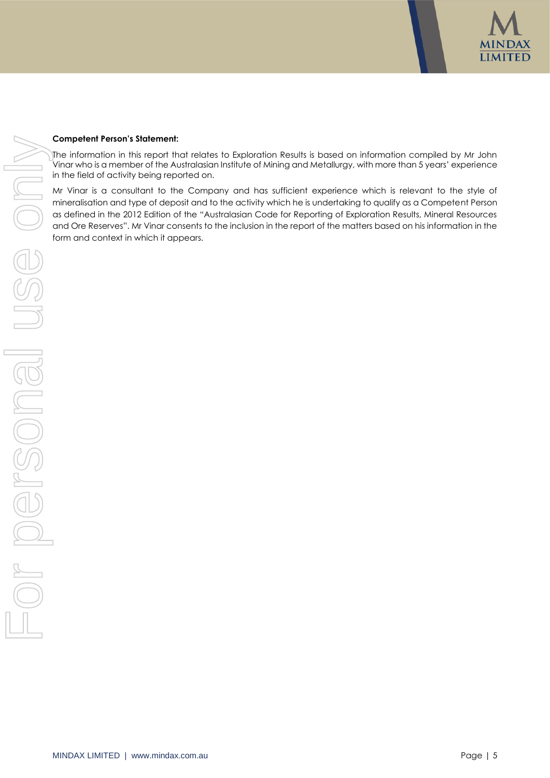

#### **Competent Person's Statement:**

The information in this report that relates to Exploration Results is based on information compiled by Mr John Vinar who is a member of the Australasian Institute of Mining and Metallurgy, with more than 5 years' experience in the field of activity being reported on.

Mr Vinar is a consultant to the Company and has sufficient experience which is relevant to the style of mineralisation and type of deposit and to the activity which he is undertaking to qualify as a Competent Person as defined in the 2012 Edition of the "Australasian Code for Reporting of Exploration Results, Mineral Resources and Ore Reserves". Mr Vinar consents to the inclusion in the report of the matters based on his information in the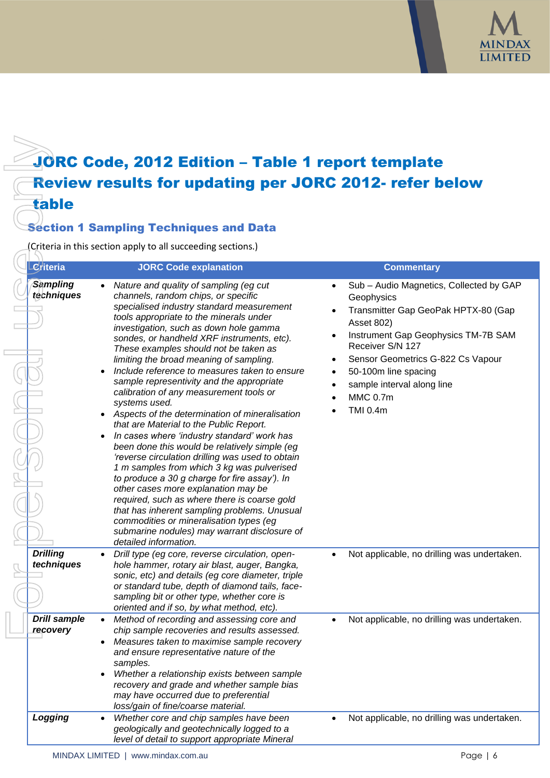

# JORC Code, 2012 Edition – Table 1 report template Review results for updating per JORC 2012- refer below table

# Section 1 Sampling Techniques and Data

| JORC Code, 2012 Edition - Table 1 report template             |                                                                                                                                                                                                                                                                                                                                                                                                                                                                                                                                                                                                                                                                                                                                                                                                                                                                                                                                                                                                                                                                                                                        |                                                                                                                                                                                                                                                                                                        |  |
|---------------------------------------------------------------|------------------------------------------------------------------------------------------------------------------------------------------------------------------------------------------------------------------------------------------------------------------------------------------------------------------------------------------------------------------------------------------------------------------------------------------------------------------------------------------------------------------------------------------------------------------------------------------------------------------------------------------------------------------------------------------------------------------------------------------------------------------------------------------------------------------------------------------------------------------------------------------------------------------------------------------------------------------------------------------------------------------------------------------------------------------------------------------------------------------------|--------------------------------------------------------------------------------------------------------------------------------------------------------------------------------------------------------------------------------------------------------------------------------------------------------|--|
| <b>Review results for updating per JORC 2012- refer below</b> |                                                                                                                                                                                                                                                                                                                                                                                                                                                                                                                                                                                                                                                                                                                                                                                                                                                                                                                                                                                                                                                                                                                        |                                                                                                                                                                                                                                                                                                        |  |
| table                                                         |                                                                                                                                                                                                                                                                                                                                                                                                                                                                                                                                                                                                                                                                                                                                                                                                                                                                                                                                                                                                                                                                                                                        |                                                                                                                                                                                                                                                                                                        |  |
|                                                               | <b>Section 1 Sampling Techniques and Data</b>                                                                                                                                                                                                                                                                                                                                                                                                                                                                                                                                                                                                                                                                                                                                                                                                                                                                                                                                                                                                                                                                          |                                                                                                                                                                                                                                                                                                        |  |
|                                                               | (Criteria in this section apply to all succeeding sections.)                                                                                                                                                                                                                                                                                                                                                                                                                                                                                                                                                                                                                                                                                                                                                                                                                                                                                                                                                                                                                                                           |                                                                                                                                                                                                                                                                                                        |  |
| Leriteria                                                     | <b>JORC Code explanation</b>                                                                                                                                                                                                                                                                                                                                                                                                                                                                                                                                                                                                                                                                                                                                                                                                                                                                                                                                                                                                                                                                                           | <b>Commentary</b>                                                                                                                                                                                                                                                                                      |  |
| <b>Sampling</b><br>techniques                                 | Nature and quality of sampling (eg cut<br>channels, random chips, or specific<br>specialised industry standard measurement<br>tools appropriate to the minerals under<br>investigation, such as down hole gamma<br>sondes, or handheld XRF instruments, etc).<br>These examples should not be taken as<br>limiting the broad meaning of sampling.<br>Include reference to measures taken to ensure<br>sample representivity and the appropriate<br>calibration of any measurement tools or<br>systems used.<br>Aspects of the determination of mineralisation<br>that are Material to the Public Report.<br>In cases where 'industry standard' work has<br>been done this would be relatively simple (eg<br>'reverse circulation drilling was used to obtain<br>1 m samples from which 3 kg was pulverised<br>to produce a 30 g charge for fire assay'). In<br>other cases more explanation may be<br>required, such as where there is coarse gold<br>that has inherent sampling problems. Unusual<br>commodities or mineralisation types (eg<br>submarine nodules) may warrant disclosure of<br>detailed information. | Sub - Audio Magnetics, Collected by GAP<br>Geophysics<br>Transmitter Gap GeoPak HPTX-80 (Gap<br>Asset 802)<br>Instrument Gap Geophysics TM-7B SAM<br>Receiver S/N 127<br>Sensor Geometrics G-822 Cs Vapour<br>50-100m line spacing<br>sample interval along line<br><b>MMC 0.7m</b><br><b>TMI 0.4m</b> |  |
| Drilling<br>techniques                                        | Drill type (eg core, reverse circulation, open-<br>hole hammer, rotary air blast, auger, Bangka,<br>sonic, etc) and details (eg core diameter, triple<br>or standard tube, depth of diamond tails, face-<br>sampling bit or other type, whether core is<br>oriented and if so, by what method, etc).                                                                                                                                                                                                                                                                                                                                                                                                                                                                                                                                                                                                                                                                                                                                                                                                                   | Not applicable, no drilling was undertaken.                                                                                                                                                                                                                                                            |  |
| <b>Drill sample</b><br>recovery                               | Method of recording and assessing core and<br>chip sample recoveries and results assessed.<br>Measures taken to maximise sample recovery<br>٠<br>and ensure representative nature of the<br>samples.<br>Whether a relationship exists between sample<br>٠<br>recovery and grade and whether sample bias<br>may have occurred due to preferential<br>loss/gain of fine/coarse material.                                                                                                                                                                                                                                                                                                                                                                                                                                                                                                                                                                                                                                                                                                                                 | Not applicable, no drilling was undertaken.                                                                                                                                                                                                                                                            |  |
| Logging                                                       | Whether core and chip samples have been<br>٠<br>geologically and geotechnically logged to a<br>level of detail to support appropriate Mineral                                                                                                                                                                                                                                                                                                                                                                                                                                                                                                                                                                                                                                                                                                                                                                                                                                                                                                                                                                          | Not applicable, no drilling was undertaken.                                                                                                                                                                                                                                                            |  |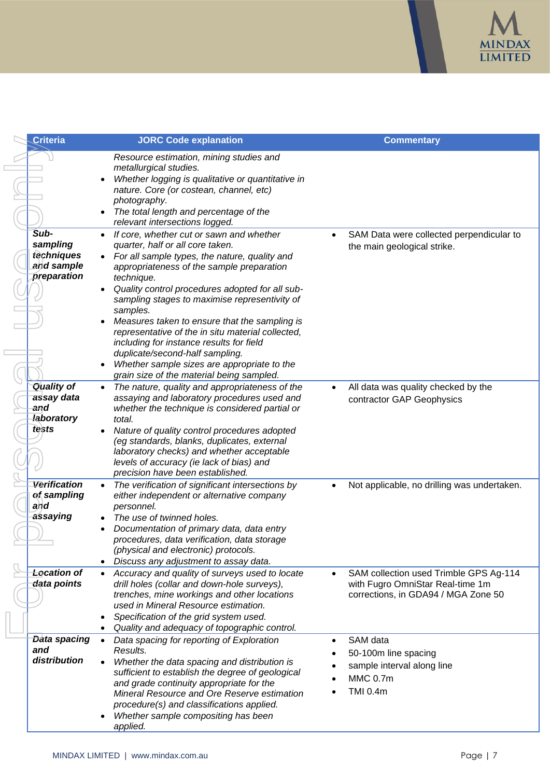

| <b>Criteria</b>                                                      | <b>JORC Code explanation</b>                                                                                                                                                                                                                                                                                                                                                                                                                                                                                                                                                                           | <b>Commentary</b>                                                                                                 |
|----------------------------------------------------------------------|--------------------------------------------------------------------------------------------------------------------------------------------------------------------------------------------------------------------------------------------------------------------------------------------------------------------------------------------------------------------------------------------------------------------------------------------------------------------------------------------------------------------------------------------------------------------------------------------------------|-------------------------------------------------------------------------------------------------------------------|
|                                                                      | Resource estimation, mining studies and<br>metallurgical studies.<br>Whether logging is qualitative or quantitative in<br>nature. Core (or costean, channel, etc)<br>photography.<br>The total length and percentage of the<br>relevant intersections logged.                                                                                                                                                                                                                                                                                                                                          |                                                                                                                   |
| Sub-<br>sampling<br>techniques<br>and sample<br>preparation          | If core, whether cut or sawn and whether<br>quarter, half or all core taken.<br>For all sample types, the nature, quality and<br>appropriateness of the sample preparation<br>technique.<br>Quality control procedures adopted for all sub-<br>sampling stages to maximise representivity of<br>samples.<br>Measures taken to ensure that the sampling is<br>representative of the in situ material collected,<br>including for instance results for field<br>duplicate/second-half sampling.<br>Whether sample sizes are appropriate to the<br>$\bullet$<br>grain size of the material being sampled. | SAM Data were collected perpendicular to<br>the main geological strike.                                           |
| <b>Quality of</b><br>assay data<br>and<br><b>laboratory</b><br>tests | The nature, quality and appropriateness of the<br>$\bullet$<br>assaying and laboratory procedures used and<br>whether the technique is considered partial or<br>total.<br>Nature of quality control procedures adopted<br>(eg standards, blanks, duplicates, external<br>laboratory checks) and whether acceptable<br>levels of accuracy (ie lack of bias) and<br>precision have been established.                                                                                                                                                                                                     | All data was quality checked by the<br>$\bullet$<br>contractor GAP Geophysics                                     |
| Verification<br>of sampling<br>and<br>assaying                       | The verification of significant intersections by<br>either independent or alternative company<br>personnel.<br>The use of twinned holes.<br>Documentation of primary data, data entry<br>procedures, data verification, data storage<br>(physical and electronic) protocols.<br>Discuss any adjustment to assay data.<br>$\bullet$                                                                                                                                                                                                                                                                     | Not applicable, no drilling was undertaken.                                                                       |
| <b>Location of</b><br>data points                                    | Accuracy and quality of surveys used to locate<br>$\bullet$<br>drill holes (collar and down-hole surveys),<br>trenches, mine workings and other locations<br>used in Mineral Resource estimation.<br>Specification of the grid system used.<br>Quality and adequacy of topographic control.                                                                                                                                                                                                                                                                                                            | SAM collection used Trimble GPS Ag-114<br>with Fugro OmniStar Real-time 1m<br>corrections, in GDA94 / MGA Zone 50 |
| Data spacing<br>and<br>distribution                                  | Data spacing for reporting of Exploration<br>$\bullet$<br>Results.<br>Whether the data spacing and distribution is<br>sufficient to establish the degree of geological<br>and grade continuity appropriate for the<br>Mineral Resource and Ore Reserve estimation<br>procedure(s) and classifications applied.<br>Whether sample compositing has been<br>applied.                                                                                                                                                                                                                                      | SAM data<br>50-100m line spacing<br>sample interval along line<br><b>MMC 0.7m</b><br><b>TMI 0.4m</b>              |

 $\mathbb{R}$ 

 $\equiv$ 

 $\Box$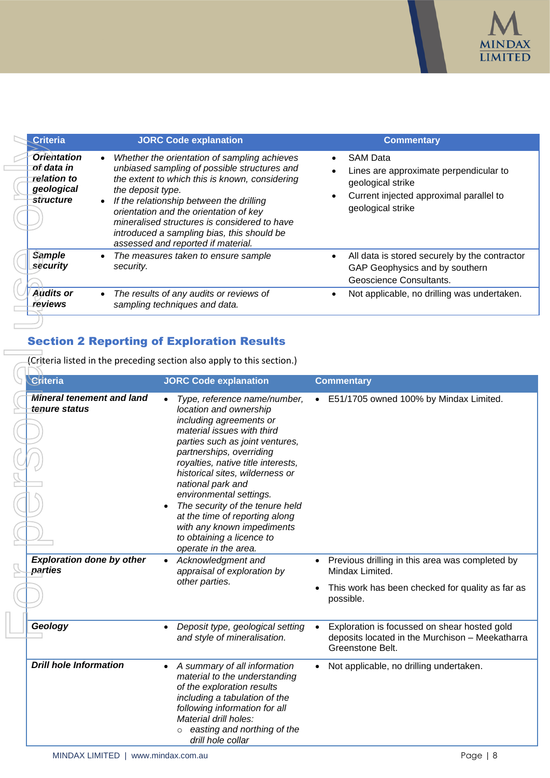

|  | <b>Criteria</b>                                                                               | <b>JORC Code explanation</b>                                                                                                                                                                                                                                                                                                                                                                  | <b>Commentary</b>                                                                                                                                                                     |
|--|-----------------------------------------------------------------------------------------------|-----------------------------------------------------------------------------------------------------------------------------------------------------------------------------------------------------------------------------------------------------------------------------------------------------------------------------------------------------------------------------------------------|---------------------------------------------------------------------------------------------------------------------------------------------------------------------------------------|
|  | <b>Orientation</b><br>of data in<br><i>relation to</i><br>geological<br><del>st</del> ructure | Whether the orientation of sampling achieves<br>unbiased sampling of possible structures and<br>the extent to which this is known, considering<br>the deposit type.<br>If the relationship between the drilling<br>orientation and the orientation of key<br>mineralised structures is considered to have<br>introduced a sampling bias, this should be<br>assessed and reported if material. | <b>SAM Data</b><br>$\bullet$<br>Lines are approximate perpendicular to<br>$\bullet$<br>geological strike<br>Current injected approximal parallel to<br>$\bullet$<br>geological strike |
|  | <b>Sample</b><br>security                                                                     | The measures taken to ensure sample<br>security.                                                                                                                                                                                                                                                                                                                                              | All data is stored securely by the contractor<br>$\bullet$<br>GAP Geophysics and by southern<br>Geoscience Consultants.                                                               |
|  | <b>Audits or</b><br>reviews                                                                   | The results of any audits or reviews of<br>sampling techniques and data.                                                                                                                                                                                                                                                                                                                      | Not applicable, no drilling was undertaken.                                                                                                                                           |

# Section 2 Reporting of Exploration Results

 $\overline{\phantom{a}}$ 

| <b>Criteria</b>                                                                         | <b>JORC Code explanation</b>                                                                                                                                                                                                                                                                                                                                                                                                                                                              | <b>Commentary</b>                                                                                                                                   |
|-----------------------------------------------------------------------------------------|-------------------------------------------------------------------------------------------------------------------------------------------------------------------------------------------------------------------------------------------------------------------------------------------------------------------------------------------------------------------------------------------------------------------------------------------------------------------------------------------|-----------------------------------------------------------------------------------------------------------------------------------------------------|
| <b>Orientation</b><br>$\bullet$<br>of data in<br>relation to<br>geological<br>structure | Whether the orientation of sampling achieves<br>unbiased sampling of possible structures and<br>the extent to which this is known, considering<br>the deposit type.<br>If the relationship between the drilling<br>orientation and the orientation of key<br>mineralised structures is considered to have<br>introduced a sampling bias, this should be<br>assessed and reported if material.                                                                                             | <b>SAM Data</b><br>Lines are approximate perpendicular to<br>geological strike<br>Current injected approximal parallel to<br>٠<br>geological strike |
| <b>Sample</b><br>$\bullet$<br>security<br>security.                                     | The measures taken to ensure sample                                                                                                                                                                                                                                                                                                                                                                                                                                                       | All data is stored securely by the contractor<br>$\bullet$<br>GAP Geophysics and by southern<br>Geoscience Consultants.                             |
| <b>Audits or</b><br>$\bullet$<br>reviews                                                | The results of any audits or reviews of<br>sampling techniques and data.                                                                                                                                                                                                                                                                                                                                                                                                                  | Not applicable, no drilling was undertaken.<br>$\bullet$                                                                                            |
| Criteria                                                                                | <b>Section 2 Reporting of Exploration Results</b><br>(Criteria listed in the preceding section also apply to this section.)<br><b>JORC Code explanation</b>                                                                                                                                                                                                                                                                                                                               |                                                                                                                                                     |
|                                                                                         |                                                                                                                                                                                                                                                                                                                                                                                                                                                                                           | <b>Commentary</b>                                                                                                                                   |
| <b>Mineral tenement and land</b><br>tenure status                                       | Type, reference name/number,<br>$\bullet$<br>location and ownership<br>including agreements or<br>material issues with third<br>parties such as joint ventures,<br>partnerships, overriding<br>royalties, native title interests,<br>historical sites, wilderness or<br>national park and<br>environmental settings.<br>The security of the tenure held<br>$\bullet$<br>at the time of reporting along<br>with any known impediments<br>to obtaining a licence to<br>operate in the area. | • E51/1705 owned 100% by Mindax Limited.                                                                                                            |
| <b>Exploration done by other</b><br>parties                                             | Acknowledgment and<br>appraisal of exploration by<br>other parties.                                                                                                                                                                                                                                                                                                                                                                                                                       | Previous drilling in this area was completed by<br>Mindax Limited.                                                                                  |
|                                                                                         |                                                                                                                                                                                                                                                                                                                                                                                                                                                                                           | This work has been checked for quality as far as<br>possible.                                                                                       |
| Geology                                                                                 | Deposit type, geological setting<br>and style of mineralisation.                                                                                                                                                                                                                                                                                                                                                                                                                          | Exploration is focussed on shear hosted gold<br>deposits located in the Murchison - Meekatharra<br>Greenstone Belt.                                 |
| <b>Drill hole Information</b>                                                           | A summary of all information<br>$\bullet$<br>material to the understanding<br>of the exploration results<br>including a tabulation of the<br>following information for all<br>Material drill holes:<br>easting and northing of the<br>drill hole collar                                                                                                                                                                                                                                   | Not applicable, no drilling undertaken.                                                                                                             |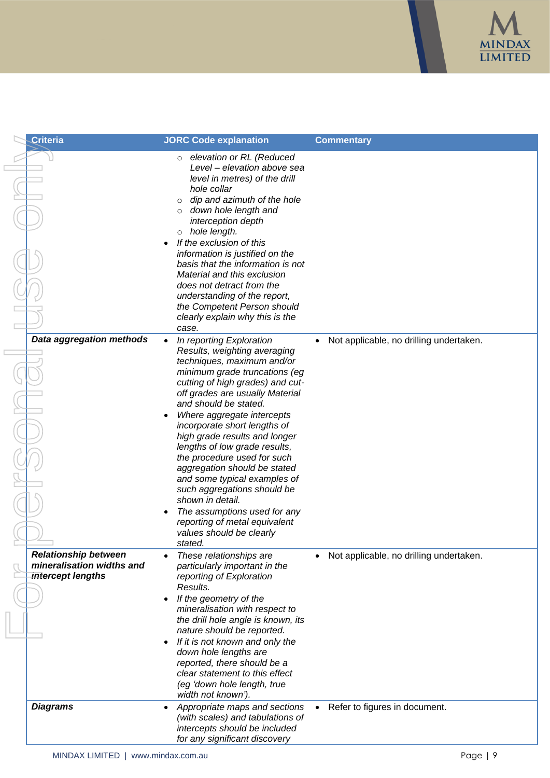

| <b>Criteria</b>                                                               | <b>JORC Code explanation</b>                                                                                                                                                                                                                                                                                                                                                                                                                                                                                                                                                                                               | <b>Commentary</b>                       |
|-------------------------------------------------------------------------------|----------------------------------------------------------------------------------------------------------------------------------------------------------------------------------------------------------------------------------------------------------------------------------------------------------------------------------------------------------------------------------------------------------------------------------------------------------------------------------------------------------------------------------------------------------------------------------------------------------------------------|-----------------------------------------|
|                                                                               | elevation or RL (Reduced<br>$\circ$<br>Level - elevation above sea<br>level in metres) of the drill<br>hole collar<br>dip and azimuth of the hole<br>$\circ$<br>down hole length and<br>$\circ$<br>interception depth<br>hole length.<br>$\circ$<br>If the exclusion of this<br>information is justified on the<br>basis that the information is not<br>Material and this exclusion<br>does not detract from the<br>understanding of the report,<br>the Competent Person should<br>clearly explain why this is the                                                                                                         |                                         |
| Data aggregation methods                                                      | case.<br>In reporting Exploration<br>Results, weighting averaging<br>techniques, maximum and/or<br>minimum grade truncations (eg<br>cutting of high grades) and cut-<br>off grades are usually Material<br>and should be stated.<br>Where aggregate intercepts<br>incorporate short lengths of<br>high grade results and longer<br>lengths of low grade results,<br>the procedure used for such<br>aggregation should be stated<br>and some typical examples of<br>such aggregations should be<br>shown in detail.<br>The assumptions used for any<br>reporting of metal equivalent<br>values should be clearly<br>stated. | Not applicable, no drilling undertaken. |
| <b>Relationship between</b><br>mineralisation widths and<br>intercept lengths | These relationships are<br>particularly important in the<br>reporting of Exploration<br>Results.<br>If the geometry of the<br>$\bullet$<br>mineralisation with respect to<br>the drill hole angle is known, its<br>nature should be reported.<br>If it is not known and only the<br>down hole lengths are<br>reported, there should be a<br>clear statement to this effect<br>(eg 'down hole length, true<br>width not known').                                                                                                                                                                                            | Not applicable, no drilling undertaken. |
| <b>Diagrams</b>                                                               | Appropriate maps and sections<br>(with scales) and tabulations of<br>intercepts should be included<br>for any significant discovery                                                                                                                                                                                                                                                                                                                                                                                                                                                                                        | Refer to figures in document.           |